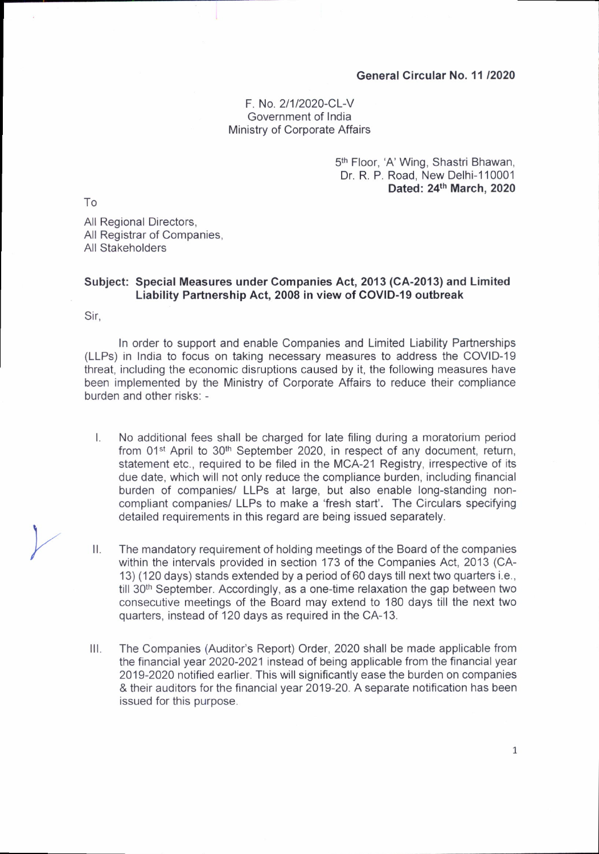## General Circular No. 11 /2020

## F No.2/1/2020-CL-V Government of India Ministry of Corporate Affairs

5<sup>th</sup> Floor, 'A' Wing, Shastri Bhawan, Dr. R. P. Road, New Delhi-110001 Dated: 24th March, 2020

To

All Regional Directors, All Registrar of Companies, All Stakeholders

## Subject: Special Measures under Companies Act, 2013 (CA-2013) and Limited Liability Partnership Act, 2008 in view of COVID-19 outbreak

Sir,

In order to support and enable Companies and Limited Liability Partnerships (LLPs) in India to focus on taking necessary measures to address the COVID-19 threat, including the economic disruptions caused by it, the following measures have been implemented by the Ministry of Corporate Affairs to reduce their compliance burden and other risks: -

- $\mathsf{L}$ No additional fees shall be charged for late filing during a moratorium period from 01<sup>st</sup> April to 30<sup>th</sup> September 2020, in respect of any document, return, statement etc., required to be filed in the MCA-21 Registry, irrespective of its due date, which will not only reduce the compliance burden, including financial burden of companies/ LLPs at large, but also enable long-standing noncompliant companies/ LLPs to make a'fresh start'. The Circulars specifying detailed requirements in this regard are being issued separately.
- The mandatory requirement of holding meetings of the Board of the companies within the intervals provided in section 173 of the Companies Act, 2013 (CA-13) (120 days) stands extended by a period of 60 days till next two quarters i.e., till 30<sup>th</sup> September. Accordingly, as a one-time relaxation the gap between two consecutive meetings of the Board may extend to 180 days till the next two quarters, instead of 120 days as required in the CA-13.  $II.$
- The Companies (Auditor's Report) Order,2020 shall be made applicable from the financial year 2O2O-2O21 instead of being applicable from the financial year 2019-2020 notified earlier. This will significantly ease the burden on companies & their auditors for the financial vear 2019-20. A seoarate notification has been issued for this purpose. ilt.

 $\mathbf{1}$